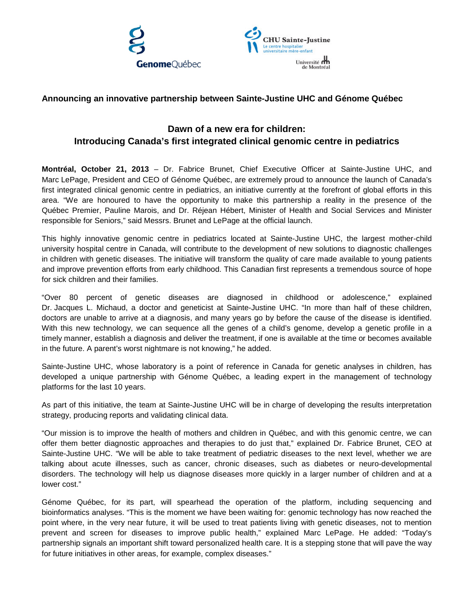



## **Announcing an innovative partnership between Sainte-Justine UHC and Génome Québec**

## **Dawn of a new era for children: Introducing Canada's first integrated clinical genomic centre in pediatrics**

**Montréal, October 21, 2013** – Dr. Fabrice Brunet, Chief Executive Officer at Sainte-Justine UHC, and Marc LePage, President and CEO of Génome Québec, are extremely proud to announce the launch of Canada's first integrated clinical genomic centre in pediatrics, an initiative currently at the forefront of global efforts in this area. "We are honoured to have the opportunity to make this partnership a reality in the presence of the Québec Premier, Pauline Marois, and Dr. Réjean Hébert, Minister of Health and Social Services and Minister responsible for Seniors," said Messrs. Brunet and LePage at the official launch.

This highly innovative genomic centre in pediatrics located at Sainte-Justine UHC, the largest mother-child university hospital centre in Canada, will contribute to the development of new solutions to diagnostic challenges in children with genetic diseases. The initiative will transform the quality of care made available to young patients and improve prevention efforts from early childhood. This Canadian first represents a tremendous source of hope for sick children and their families.

"Over 80 percent of genetic diseases are diagnosed in childhood or adolescence," explained Dr. Jacques L. Michaud, a doctor and geneticist at Sainte-Justine UHC. "In more than half of these children, doctors are unable to arrive at a diagnosis, and many years go by before the cause of the disease is identified. With this new technology, we can sequence all the genes of a child's genome, develop a genetic profile in a timely manner, establish a diagnosis and deliver the treatment, if one is available at the time or becomes available in the future. A parent's worst nightmare is not knowing," he added.

Sainte-Justine UHC, whose laboratory is a point of reference in Canada for genetic analyses in children, has developed a unique partnership with Génome Québec, a leading expert in the management of technology platforms for the last 10 years.

As part of this initiative, the team at Sainte-Justine UHC will be in charge of developing the results interpretation strategy, producing reports and validating clinical data.

"Our mission is to improve the health of mothers and children in Québec, and with this genomic centre, we can offer them better diagnostic approaches and therapies to do just that," explained Dr. Fabrice Brunet, CEO at Sainte-Justine UHC. "We will be able to take treatment of pediatric diseases to the next level, whether we are talking about acute illnesses, such as cancer, chronic diseases, such as diabetes or neuro-developmental disorders. The technology will help us diagnose diseases more quickly in a larger number of children and at a lower cost."

Génome Québec, for its part, will spearhead the operation of the platform, including sequencing and bioinformatics analyses. "This is the moment we have been waiting for: genomic technology has now reached the point where, in the very near future, it will be used to treat patients living with genetic diseases, not to mention prevent and screen for diseases to improve public health," explained Marc LePage. He added: "Today's partnership signals an important shift toward personalized health care. It is a stepping stone that will pave the way for future initiatives in other areas, for example, complex diseases."